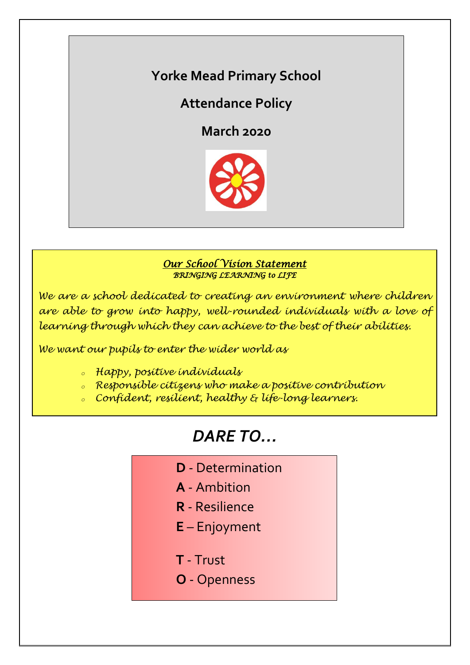# **Yorke Mead Primary School**

# **Attendance Policy**

**March 2020**



## *Our School Vision Statement BRINGING LEARNING to LIFE*

*We are a school dedicated to creating an environment where children are able to grow into happy, well-rounded individuals with a love of learning through which they can achieve to the best of their abilities.*

*We want our pupils to enter the wider world as*

- *<sup>o</sup> Happy, positive individuals*
- *<sup>o</sup> Responsible citizens who make a positive contribution*
- *<sup>o</sup> Confident, resilient, healthy & life-long learners.*

# *DARE TO…*

- **D** Determination
- **A** Ambition
- **R** Resilience
- **E** Enjoyment
- **T** Trust
- **O** Openness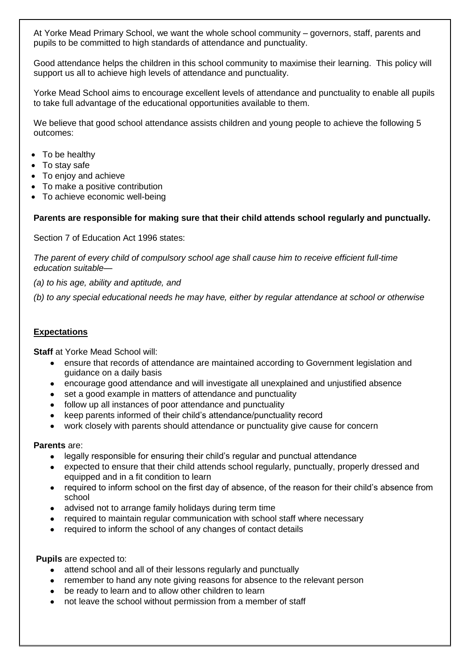At Yorke Mead Primary School, we want the whole school community – governors, staff, parents and pupils to be committed to high standards of attendance and punctuality.

Good attendance helps the children in this school community to maximise their learning. This policy will support us all to achieve high levels of attendance and punctuality.

Yorke Mead School aims to encourage excellent levels of attendance and punctuality to enable all pupils to take full advantage of the educational opportunities available to them.

We believe that good school attendance assists children and young people to achieve the following 5 outcomes:

- To be healthy
- To stay safe
- To enjoy and achieve
- To make a positive contribution
- To achieve economic well-being

#### **Parents are responsible for making sure that their child attends school regularly and punctually.**

Section 7 of Education Act 1996 states:

*The parent of every child of compulsory school age shall cause him to receive efficient full-time education suitable—*

*(a) to his age, ability and aptitude, and*

*(b) to any special educational needs he may have, either by regular attendance at school or otherwise*

#### **Expectations**

**Staff** at Yorke Mead School will:

- ensure that records of attendance are maintained according to Government legislation and guidance on a daily basis
- encourage good attendance and will investigate all unexplained and unjustified absence
- set a good example in matters of attendance and punctuality
- follow up all instances of poor attendance and punctuality
- keep parents informed of their child's attendance/punctuality record
- work closely with parents should attendance or punctuality give cause for concern

#### **Parents** are:

- legally responsible for ensuring their child's regular and punctual attendance
- expected to ensure that their child attends school regularly, punctually, properly dressed and equipped and in a fit condition to learn
- required to inform school on the first day of absence, of the reason for their child's absence from school
- advised not to arrange family holidays during term time
- required to maintain regular communication with school staff where necessary
- required to inform the school of any changes of contact details

**Pupils** are expected to:

- attend school and all of their lessons regularly and punctually
- remember to hand any note giving reasons for absence to the relevant person
- be ready to learn and to allow other children to learn
- not leave the school without permission from a member of staff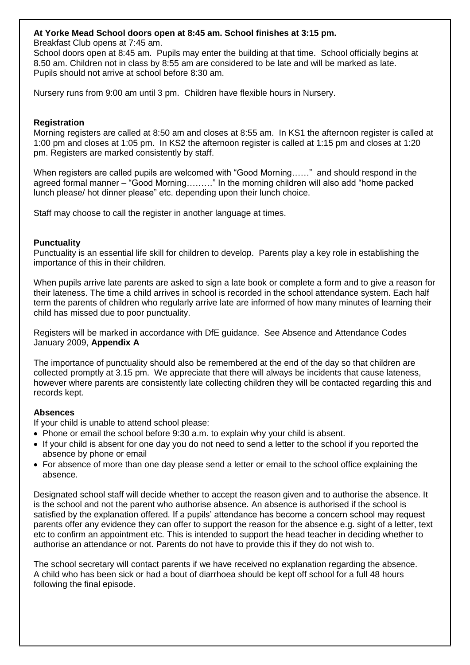#### **At Yorke Mead School doors open at 8:45 am. School finishes at 3:15 pm.**

Breakfast Club opens at 7:45 am.

School doors open at 8:45 am. Pupils may enter the building at that time. School officially begins at 8.50 am. Children not in class by 8:55 am are considered to be late and will be marked as late. Pupils should not arrive at school before 8:30 am.

Nursery runs from 9:00 am until 3 pm. Children have flexible hours in Nursery.

#### **Registration**

Morning registers are called at 8:50 am and closes at 8:55 am. In KS1 the afternoon register is called at 1:00 pm and closes at 1:05 pm. In KS2 the afternoon register is called at 1:15 pm and closes at 1:20 pm. Registers are marked consistently by staff.

When registers are called pupils are welcomed with "Good Morning……" and should respond in the agreed formal manner – "Good Morning………" In the morning children will also add "home packed lunch please/ hot dinner please" etc. depending upon their lunch choice.

Staff may choose to call the register in another language at times.

#### **Punctuality**

Punctuality is an essential life skill for children to develop. Parents play a key role in establishing the importance of this in their children.

When pupils arrive late parents are asked to sign a late book or complete a form and to give a reason for their lateness. The time a child arrives in school is recorded in the school attendance system. Each half term the parents of children who regularly arrive late are informed of how many minutes of learning their child has missed due to poor punctuality.

Registers will be marked in accordance with DfE guidance. See Absence and Attendance Codes January 2009, **Appendix A**

The importance of punctuality should also be remembered at the end of the day so that children are collected promptly at 3.15 pm. We appreciate that there will always be incidents that cause lateness, however where parents are consistently late collecting children they will be contacted regarding this and records kept.

#### **Absences**

If your child is unable to attend school please:

- Phone or email the school before 9:30 a.m. to explain why your child is absent.
- If your child is absent for one day you do not need to send a letter to the school if you reported the absence by phone or email
- For absence of more than one day please send a letter or email to the school office explaining the absence.

Designated school staff will decide whether to accept the reason given and to authorise the absence. It is the school and not the parent who authorise absence. An absence is authorised if the school is satisfied by the explanation offered. If a pupils' attendance has become a concern school may request parents offer any evidence they can offer to support the reason for the absence e.g. sight of a letter, text etc to confirm an appointment etc. This is intended to support the head teacher in deciding whether to authorise an attendance or not. Parents do not have to provide this if they do not wish to.

The school secretary will contact parents if we have received no explanation regarding the absence. A child who has been sick or had a bout of diarrhoea should be kept off school for a full 48 hours following the final episode.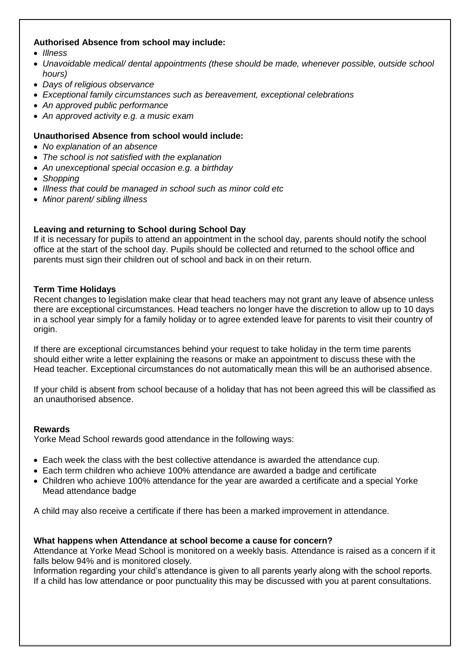#### **Authorised Absence from school may include:**

- *Illness*
- *Unavoidable medical/ dental appointments (these should be made, whenever possible, outside school hours)*
- *Days of religious observance*
- *Exceptional family circumstances such as bereavement, exceptional celebrations*
- *An approved public performance*
- *An approved activity e.g. a music exam*

#### **Unauthorised Absence from school would include:**

- *No explanation of an absence*
- *The school is not satisfied with the explanation*
- *An unexceptional special occasion e.g. a birthday*
- *Shopping*
- *Illness that could be managed in school such as minor cold etc*
- *Minor parent/ sibling illness*

#### **Leaving and returning to School during School Day**

If it is necessary for pupils to attend an appointment in the school day, parents should notify the school office at the start of the school day. Pupils should be collected and returned to the school office and parents must sign their children out of school and back in on their return.

#### **Term Time Holidays**

Recent changes to legislation make clear that head teachers may not grant any leave of absence unless there are exceptional circumstances. Head teachers no longer have the discretion to allow up to 10 days in a school year simply for a family holiday or to agree extended leave for parents to visit their country of origin.

If there are exceptional circumstances behind your request to take holiday in the term time parents should either write a letter explaining the reasons or make an appointment to discuss these with the Head teacher. Exceptional circumstances do not automatically mean this will be an authorised absence.

If your child is absent from school because of a holiday that has not been agreed this will be classified as an unauthorised absence.

#### **Rewards**

Yorke Mead School rewards good attendance in the following ways:

- Each week the class with the best collective attendance is awarded the attendance cup.
- Each term children who achieve 100% attendance are awarded a badge and certificate
- Children who achieve 100% attendance for the year are awarded a certificate and a special Yorke Mead attendance badge

A child may also receive a certificate if there has been a marked improvement in attendance.

#### **What happens when Attendance at school become a cause for concern?**

Attendance at Yorke Mead School is monitored on a weekly basis. Attendance is raised as a concern if it falls below 94% and is monitored closely.

Information regarding your child's attendance is given to all parents yearly along with the school reports. If a child has low attendance or poor punctuality this may be discussed with you at parent consultations.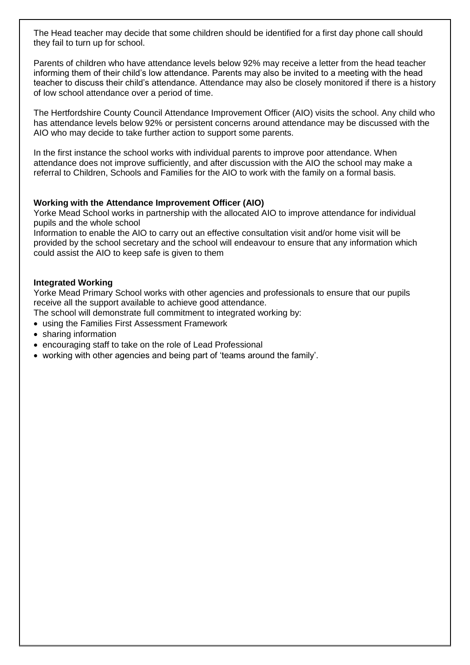The Head teacher may decide that some children should be identified for a first day phone call should they fail to turn up for school.

Parents of children who have attendance levels below 92% may receive a letter from the head teacher informing them of their child's low attendance. Parents may also be invited to a meeting with the head teacher to discuss their child's attendance. Attendance may also be closely monitored if there is a history of low school attendance over a period of time.

The Hertfordshire County Council Attendance Improvement Officer (AIO) visits the school. Any child who has attendance levels below 92% or persistent concerns around attendance may be discussed with the AIO who may decide to take further action to support some parents.

In the first instance the school works with individual parents to improve poor attendance. When attendance does not improve sufficiently, and after discussion with the AIO the school may make a referral to Children, Schools and Families for the AIO to work with the family on a formal basis.

#### **Working with the Attendance Improvement Officer (AIO)**

Yorke Mead School works in partnership with the allocated AIO to improve attendance for individual pupils and the whole school

Information to enable the AIO to carry out an effective consultation visit and/or home visit will be provided by the school secretary and the school will endeavour to ensure that any information which could assist the AIO to keep safe is given to them

#### **Integrated Working**

Yorke Mead Primary School works with other agencies and professionals to ensure that our pupils receive all the support available to achieve good attendance.

The school will demonstrate full commitment to integrated working by:

- using the Families First Assessment Framework
- sharing information
- encouraging staff to take on the role of Lead Professional
- working with other agencies and being part of 'teams around the family'.